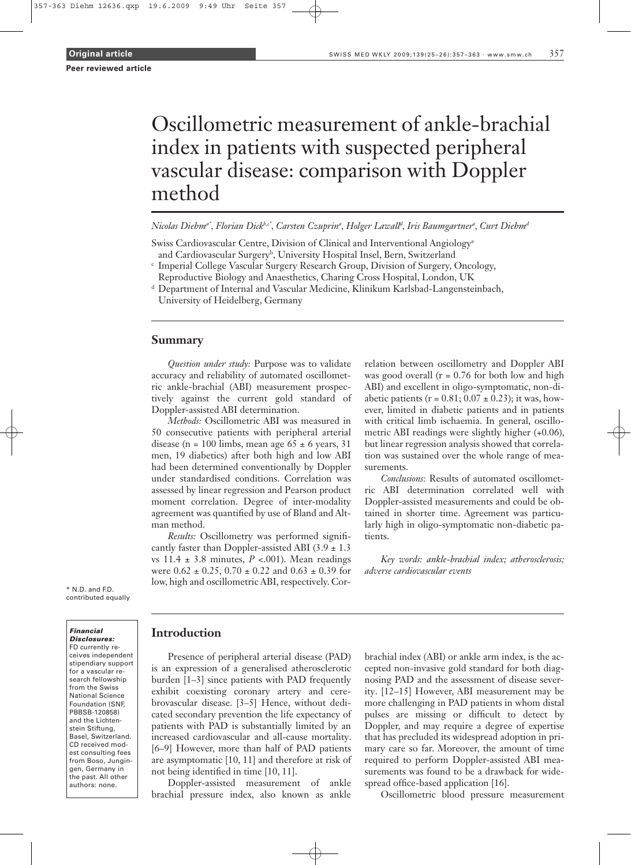# Oscillometric measurement of ankle-brachial index in patients with suspected peripheral vascular disease: comparison with Doppler method

*Nicolas Diehma\* , Florian Dickb,c\* , Carsten Czuprin<sup>a</sup> , Holger Lawall<sup>d</sup> , Iris Baumgartner<sup>a</sup> , Curt Diehm<sup>d</sup>*

Swiss Cardiovascular Centre, Division of Clinical and Interventional Angiology<sup>a</sup> and Cardiovascular Surgery<sup>b</sup>, University Hospital Insel, Bern, Switzerland

- c Imperial College Vascular Surgery Research Group, Division of Surgery, Oncology, Reproductive Biology and Anaesthetics, Charing Cross Hospital, London, UK
- <sup>d</sup> Department of Internal and Vascular Medicine, Klinikum Karlsbad-Langensteinbach,

University of Heidelberg, Germany

## **Summary**

*Question under study:* Purpose was to validate accuracy and reliability of automated oscillometric ankle-brachial (ABI) measurement prospectively against the current gold standard of Doppler-assisted ABI determination.

*Methods:* Oscillometric ABI was measured in 50 consecutive patients with peripheral arterial disease (n = 100 limbs, mean age  $65 \pm 6$  years, 31 men, 19 diabetics) after both high and low ABI had been determined conventionally by Doppler under standardised conditions. Correlation was assessed by linear regression and Pearson product moment correlation. Degree of inter-modality agreement was quantified by use of Bland and Altman method.

*Results:* Oscillometry was performed significantly faster than Doppler-assisted ABI (3.9  $\pm$  1.3 vs  $11.4 \pm 3.8$  minutes,  $P < .001$ ). Mean readings were  $0.62 \pm 0.25$ ,  $0.70 \pm 0.22$  and  $0.63 \pm 0.39$  for low, high and oscillometric ABI, respectively. Correlation between oscillometry and Doppler ABI was good overall  $(r = 0.76$  for both low and high ABI) and excellent in oligo-symptomatic, non-diabetic patients ( $r = 0.81$ ;  $0.07 \pm 0.23$ ); it was, however, limited in diabetic patients and in patients with critical limb ischaemia. In general, oscillometric ABI readings were slightly higher (+0.06), but linear regression analysis showed that correlation was sustained over the whole range of measurements.

*Conclusions:* Results of automated oscillometric ABI determination correlated well with Doppler-assisted measurements and could be obtained in shorter time. Agreement was particularly high in oligo-symptomatic non-diabetic patients.

*Key words: ankle-brachial index; atherosclerosis; adverse cardiovascular events*

\* N.D. and F.D. contributed equally

#### Financial Disclosures:

FD currently receives independent stipendiary support for a vascular research fellowship from the Swiss National Science Foundation (SNF, PBBSB-120858) and the Lichtenstein Stiftung, Basel, Switzerland. CD received modest consulting fees from Boso, Jungingen, Germany in the past. All other authors: none.

## **Introduction**

Presence of peripheral arterial disease (PAD) is an expression of a generalised atherosclerotic burden [1–3] since patients with PAD frequently exhibit coexisting coronary artery and cerebrovascular disease. [3–5] Hence, without dedicated secondary prevention the life expectancy of patients with PAD is substantially limited by an increased cardiovascular and all-cause mortality. [6–9] However, more than half of PAD patients are asymptomatic [10, 11] and therefore at risk of not being identified in time [10, 11].

Doppler-assisted measurement of ankle brachial pressure index, also known as ankle

brachial index (ABI) or ankle arm index, is the accepted non-invasive gold standard for both diagnosing PAD and the assessment of disease severity. [12–15] However, ABI measurement may be more challenging in PAD patients in whom distal pulses are missing or difficult to detect by Doppler, and may require a degree of expertise that has precluded its widespread adoption in primary care so far. Moreover, the amount of time required to perform Doppler-assisted ABI measurements was found to be a drawback for widespread office-based application [16].

Oscillometric blood pressure measurement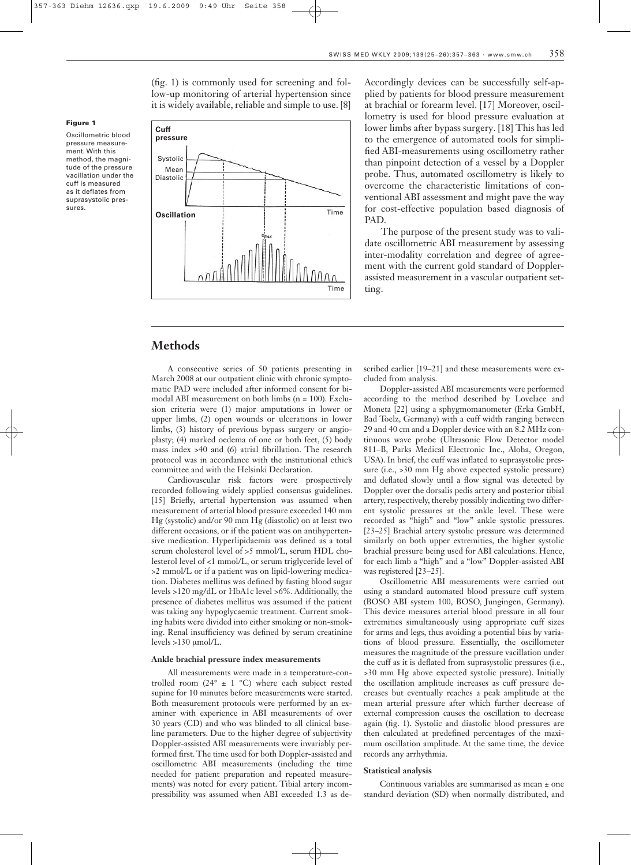(fig. 1) is commonly used for screening and follow-up monitoring of arterial hypertension since it is widely available, reliable and simple to use. [8]



Accordingly devices can be successfully self-applied by patients for blood pressure measurement at brachial or forearm level. [17] Moreover, oscillometry is used for blood pressure evaluation at lower limbs after bypass surgery. [18] This has led to the emergence of automated tools for simplified ABI-measurements using oscillometry rather than pinpoint detection of a vessel by a Doppler probe. Thus, automated oscillometry is likely to overcome the characteristic limitations of conventional ABI assessment and might pave the way for cost-effective population based diagnosis of PAD.

The purpose of the present study was to validate oscillometric ABI measurement by assessing inter-modality correlation and degree of agreement with the current gold standard of Dopplerassisted measurement in a vascular outpatient setting.

## **Methods**

Figure 1

sures.

Oscillometric blood pressure measurement. With this method, the magnitude of the pressure vacillation under the cuff is measured as it deflates from suprasystolic pres-

> A consecutive series of 50 patients presenting in March 2008 at our outpatient clinic with chronic symptomatic PAD were included after informed consent for bimodal ABI measurement on both limbs (n = 100). Exclusion criteria were (1) major amputations in lower or upper limbs, (2) open wounds or ulcerations in lower limbs, (3) history of previous bypass surgery or angioplasty; (4) marked oedema of one or both feet, (5) body mass index >40 and (6) atrial fibrillation. The research protocol was in accordance with the institutional ethic's committee and with the Helsinki Declaration.

> Cardiovascular risk factors were prospectively recorded following widely applied consensus guidelines. [15] Briefly, arterial hypertension was assumed when measurement of arterial blood pressure exceeded 140 mm Hg (systolic) and/or 90 mm Hg (diastolic) on at least two different occasions, or if the patient was on antihypertensive medication. Hyperlipidaemia was defined as a total serum cholesterol level of >5 mmol/L, serum HDL cholesterol level of <1 mmol/L, or serum triglyceride level of >2 mmol/L or if a patient was on lipid-lowering medication. Diabetes mellitus was defined by fasting blood sugar levels >120 mg/dL or HbA1c level >6%. Additionally, the presence of diabetes mellitus was assumed if the patient was taking any hypoglycaemic treatment. Current smoking habits were divided into either smoking or non-smoking. Renal insufficiency was defined by serum creatinine levels >130 μmol/L.

## **Ankle brachial pressure index measurements**

All measurements were made in a temperature-controlled room (24°  $\pm$  1 °C) where each subject rested supine for 10 minutes before measurements were started. Both measurement protocols were performed by an examiner with experience in ABI measurements of over 30 years (CD) and who was blinded to all clinical baseline parameters. Due to the higher degree of subjectivity Doppler-assisted ABI measurements were invariably performed first. The time used for both Doppler-assisted and oscillometric ABI measurements (including the time needed for patient preparation and repeated measurements) was noted for every patient. Tibial artery incompressibility was assumed when ABI exceeded 1.3 as described earlier [19–21] and these measurements were excluded from analysis.

Doppler-assisted ABI measurements were performed according to the method described by Lovelace and Moneta [22] using a sphygmomanometer (Erka GmbH, Bad Toelz, Germany) with a cuff width ranging between 29 and 40 cm and a Doppler device with an 8.2 MHz continuous wave probe (Ultrasonic Flow Detector model 811–B, Parks Medical Electronic Inc., Aloha, Oregon, USA). In brief, the cuff was inflated to suprasystolic pressure (i.e., >30 mm Hg above expected systolic pressure) and deflated slowly until a flow signal was detected by Doppler over the dorsalis pedis artery and posterior tibial artery, respectively, thereby possibly indicating two different systolic pressures at the ankle level. These were recorded as "high" and "low" ankle systolic pressures. [23–25] Brachial artery systolic pressure was determined similarly on both upper extremities, the higher systolic brachial pressure being used for ABI calculations. Hence, for each limb a "high" and a "low" Doppler-assisted ABI was registered [23–25].

Oscillometric ABI measurements were carried out using a standard automated blood pressure cuff system (BOSO ABI system 100, BOSO, Jungingen, Germany). This device measures arterial blood pressure in all four extremities simultaneously using appropriate cuff sizes for arms and legs, thus avoiding a potential bias by variations of blood pressure. Essentially, the oscillometer measures the magnitude of the pressure vacillation under the cuff as it is deflated from suprasystolic pressures (i.e., >30 mm Hg above expected systolic pressure). Initially the oscillation amplitude increases as cuff pressure decreases but eventually reaches a peak amplitude at the mean arterial pressure after which further decrease of external compression causes the oscillation to decrease again (fig. 1). Systolic and diastolic blood pressures are then calculated at predefined percentages of the maximum oscillation amplitude. At the same time, the device records any arrhythmia.

#### **Statistical analysis**

Continuous variables are summarised as mean ± one standard deviation (SD) when normally distributed, and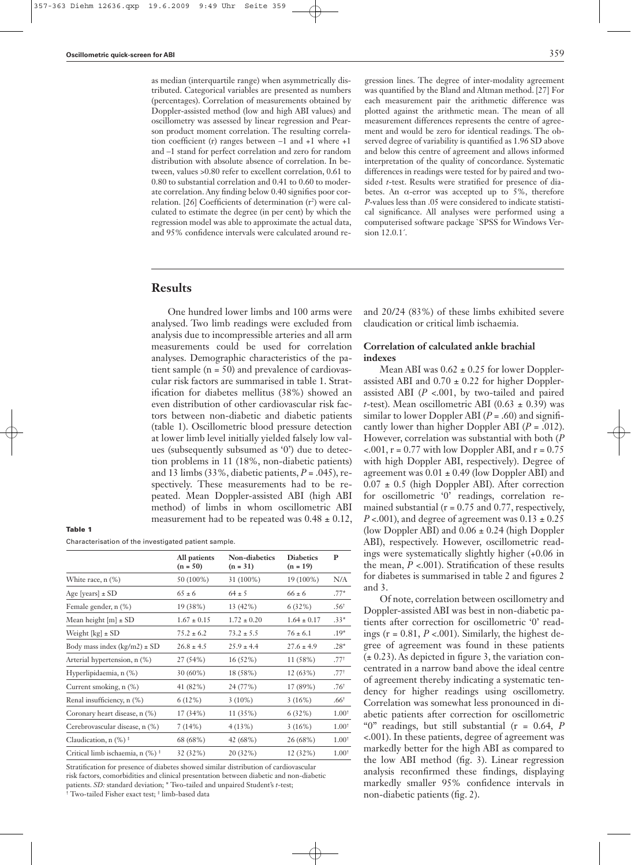as median (interquartile range) when asymmetrically distributed. Categorical variables are presented as numbers (percentages). Correlation of measurements obtained by Doppler-assisted method (low and high ABI values) and oscillometry was assessed by linear regression and Pearson product moment correlation. The resulting correlation coefficient (r) ranges between –1 and +1 where +1 and –1 stand for perfect correlation and zero for random distribution with absolute absence of correlation. In between, values >0.80 refer to excellent correlation, 0.61 to 0.80 to substantial correlation and 0.41 to 0.60 to moderate correlation. Any finding below 0.40 signifies poor correlation. [26] Coefficients of determination (r<sup>2</sup>) were calculated to estimate the degree (in per cent) by which the regression model was able to approximate the actual data, and 95% confidence intervals were calculated around regression lines. The degree of inter-modality agreement was quantified by the Bland and Altman method. [27] For each measurement pair the arithmetic difference was plotted against the arithmetic mean. The mean of all measurement differences represents the centre of agreement and would be zero for identical readings. The observed degree of variability is quantified as 1.96 SD above and below this centre of agreement and allows informed interpretation of the quality of concordance. Systematic differences in readings were tested for by paired and twosided *t*-test. Results were stratified for presence of diabetes. An  $\alpha$ -error was accepted up to 5%, therefore *P*-values less than .05 were considered to indicate statistical significance. All analyses were performed using a computerised software package `SPSS for Windows Version 12.0.1´.

# **Results**

One hundred lower limbs and 100 arms were analysed. Two limb readings were excluded from analysis due to incompressible arteries and all arm measurements could be used for correlation analyses. Demographic characteristics of the patient sample (n = 50) and prevalence of cardiovascular risk factors are summarised in table 1. Stratification for diabetes mellitus (38%) showed an even distribution of other cardiovascular risk factors between non-diabetic and diabetic patients (table 1). Oscillometric blood pressure detection at lower limb level initially yielded falsely low values (subsequently subsumed as '0') due to detection problems in 11 (18%, non-diabetic patients) and 13 limbs (33%, diabetic patients, *P* = .045), respectively. These measurements had to be repeated. Mean Doppler-assisted ABI (high ABI method) of limbs in whom oscillometric ABI measurement had to be repeated was  $0.48 \pm 0.12$ ,

## Table 1

Characterisation of the investigated patient sample.

|                                                   | All patients<br>$(n = 50)$ | <b>Non-diabetics</b><br>$(n = 31)$ | <b>Diabetics</b><br>$(n = 19)$ | P                 |  |
|---------------------------------------------------|----------------------------|------------------------------------|--------------------------------|-------------------|--|
| White race, n (%)                                 | 50 (100%)                  | 31 (100%)                          | 19 (100%)                      | N/A               |  |
| Age [years] $\pm$ SD                              | $65 \pm 6$                 | $64 \pm 5$                         | $66 \pm 6$                     | $.77*$            |  |
| Female gender, n (%)                              | 19 (38%)                   | 13 (42%)                           | 6(32%)                         | .56 <sup>†</sup>  |  |
| Mean height $[m] \pm SD$                          | $1.67 \pm 0.15$            | $1.72 \pm 0.20$                    | $1.64 \pm 0.17$                | $.33*$            |  |
| Weight $[kg] \pm SD$                              | $75.2 \pm 6.2$             | $73.2 \pm 5.5$                     | $76 \pm 6.1$                   | $.19*$            |  |
| Body mass index $(kg/m2) \pm SD$                  | $26.8 \pm 4.5$             | $25.9 \pm 4.4$                     | $27.6 \pm 4.9$                 | $.28*$            |  |
| Arterial hypertension, n (%)                      | 27 (54%)                   | $16(52\%)$                         | 11 (58%)                       | .77 <sup>†</sup>  |  |
| Hyperlipidaemia, n (%)                            | $30(60\%)$                 | 18 (58%)                           | 12(63%)                        | .77 <sup>†</sup>  |  |
| Current smoking, n (%)                            | 41 (82%)                   | 24 (77%)                           | 17 (89%)                       | .76 <sup>†</sup>  |  |
| Renal insufficiency, n (%)                        | 6(12%)                     | $3(10\%)$                          | 3(16%)                         | .66 <sup>†</sup>  |  |
| Coronary heart disease, n (%)                     | 17 (34%)                   | 11(35%)                            | 6(32%)                         | $1.00^{+}$        |  |
| Cerebrovascular disease, n (%)                    | 7(14%)                     | 4(13%)                             | 3(16%)                         | $1.00^{+}$        |  |
| Claudication, $n$ (%) <sup><math>\pm</math></sup> | 68 (68%)                   | 42 (68%)                           | 26 (68%)                       | 1.00 <sup>†</sup> |  |
| Critical limb ischaemia, n (%) <sup>+</sup>       | 32 (32%)                   | 20 (32%)                           | 12 (32%)                       | $1.00^{+}$        |  |

Stratification for presence of diabetes showed similar distribution of cardiovascular risk factors, comorbidities and clinical presentation between diabetic and non-diabetic patients. *SD:* standard deviation; \* Two-tailed and unpaired Student's *t*-test; † Two-tailed Fisher exact test; ‡ limb-based data

and 20/24 (83%) of these limbs exhibited severe claudication or critical limb ischaemia.

## **Correlation of calculated ankle brachial indexes**

Mean ABI was  $0.62 \pm 0.25$  for lower Dopplerassisted ABI and  $0.70 \pm 0.22$  for higher Dopplerassisted ABI (*P* <.001, by two-tailed and paired *t*-test). Mean oscillometric ABI (0.63  $\pm$  0.39) was similar to lower Doppler ABI  $(P = .60)$  and significantly lower than higher Doppler ABI (*P* = .012). However, correlation was substantial with both (*P*  $< 0.001$ ,  $r = 0.77$  with low Doppler ABI, and  $r = 0.75$ with high Doppler ABI, respectively). Degree of agreement was 0.01 ± 0.49 (low Doppler ABI) and  $0.07 \pm 0.5$  (high Doppler ABI). After correction for oscillometric '0' readings, correlation remained substantial ( $r = 0.75$  and 0.77, respectively,  $P < .001$ ), and degree of agreement was  $0.13 \pm 0.25$ (low Doppler ABI) and  $0.06 \pm 0.24$  (high Doppler ABI), respectively. However, oscillometric readings were systematically slightly higher (+0.06 in the mean,  $P < .001$ ). Stratification of these results for diabetes is summarised in table 2 and figures 2 and 3.

Of note, correlation between oscillometry and Doppler-assisted ABI was best in non-diabetic patients after correction for oscillometric '0' readings ( $r = 0.81$ ,  $P < .001$ ). Similarly, the highest degree of agreement was found in these patients  $(\pm 0.23)$ . As depicted in figure 3, the variation concentrated in a narrow band above the ideal centre of agreement thereby indicating a systematic tendency for higher readings using oscillometry. Correlation was somewhat less pronounced in diabetic patients after correction for oscillometric "0" readings, but still substantial (r = 0.64, *P* <.001). In these patients, degree of agreement was markedly better for the high ABI as compared to the low ABI method (fig. 3). Linear regression analysis reconfirmed these findings, displaying markedly smaller 95% confidence intervals in non-diabetic patients (fig. 2).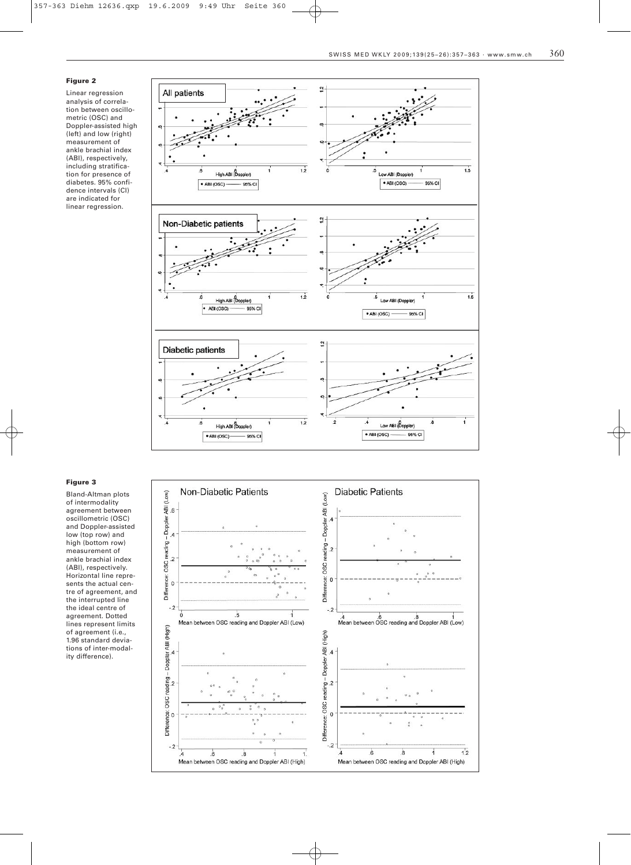## Figure 2

Linear regression analysis of correlation between oscillometric (OSC) and Doppler-assisted high (left) and low (right) measurement of ankle brachial index (ABI), respectively, including stratification for presence of diabetes. 95% confidence intervals (CI) are indicated for linear regression.



#### Figure 3

Bland-Altman plots of intermodality agreement between oscillometric (OSC) and Doppler-assisted low (top row) and high (bottom row) measurement of ankle brachial index (ABI), respectively. Horizontal line represents the actual centre of agreement, and the interrupted line the ideal centre of agreement. Dotted lines represent limits of agreement (i.e., 1.96 standard deviations of inter-modality difference).

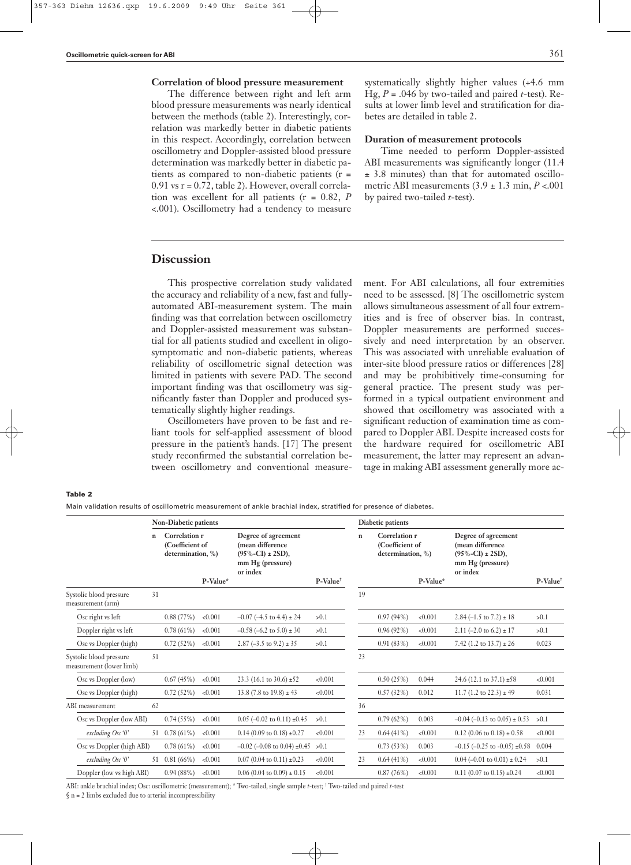## **Correlation of blood pressure measurement**

The difference between right and left arm blood pressure measurements was nearly identical between the methods (table 2). Interestingly, correlation was markedly better in diabetic patients in this respect. Accordingly, correlation between oscillometry and Doppler-assisted blood pressure determination was markedly better in diabetic patients as compared to non-diabetic patients (r =  $0.91$  vs  $r = 0.72$ , table 2). However, overall correlation was excellent for all patients (r = 0.82, *P* <.001). Oscillometry had a tendency to measure

systematically slightly higher values (+4.6 mm Hg, *P* = .046 by two-tailed and paired *t*-test). Results at lower limb level and stratification for diabetes are detailed in table 2.

## **Duration of measurement protocols**

Time needed to perform Doppler-assisted ABI measurements was significantly longer (11.4 ± 3.8 minutes) than that for automated oscillometric ABI measurements  $(3.9 \pm 1.3 \text{ min}, P < .001)$ by paired two-tailed *t*-test).

# **Discussion**

This prospective correlation study validated the accuracy and reliability of a new, fast and fullyautomated ABI-measurement system. The main finding was that correlation between oscillometry and Doppler-assisted measurement was substantial for all patients studied and excellent in oligosymptomatic and non-diabetic patients, whereas reliability of oscillometric signal detection was limited in patients with severe PAD. The second important finding was that oscillometry was significantly faster than Doppler and produced systematically slightly higher readings.

Oscillometers have proven to be fast and reliant tools for self-applied assessment of blood pressure in the patient's hands. [17] The present study reconfirmed the substantial correlation between oscillometry and conventional measurement. For ABI calculations, all four extremities need to be assessed. [8] The oscillometric system allows simultaneous assessment of all four extremities and is free of observer bias. In contrast, Doppler measurements are performed successively and need interpretation by an observer. This was associated with unreliable evaluation of inter-site blood pressure ratios or differences [28] and may be prohibitively time-consuming for general practice. The present study was performed in a typical outpatient environment and showed that oscillometry was associated with a significant reduction of examination time as compared to Doppler ABI. Despite increased costs for the hardware required for oscillometric ABI measurement, the latter may represent an advantage in making ABI assessment generally more ac-

Table 2

Main validation results of oscillometric measurement of ankle brachial index, stratified for presence of diabetes.

|                                                     |              | <b>Non-Diabetic patients</b>                                      |         |                                                                                                     |                      | Diabetic patients |                                                                   |         |                                                                                                     |                      |  |
|-----------------------------------------------------|--------------|-------------------------------------------------------------------|---------|-----------------------------------------------------------------------------------------------------|----------------------|-------------------|-------------------------------------------------------------------|---------|-----------------------------------------------------------------------------------------------------|----------------------|--|
|                                                     | $\mathbf{n}$ | Correlation r<br>(Coefficient of<br>determination, %)<br>P-Value* |         | Degree of agreement<br>(mean difference<br>$(95\% - CI) \pm 2SD$ ),<br>mm Hg (pressure)<br>or index |                      | $\mathbf n$       | Correlation r<br>(Coefficient of<br>determination, %)<br>P-Value* |         | Degree of agreement<br>(mean difference<br>$(95\% - CI) \pm 2SD$ ),<br>mm Hg (pressure)<br>or index | P-Value <sup>+</sup> |  |
| Systolic blood pressure                             | 31           |                                                                   |         |                                                                                                     | P-Value <sup>+</sup> | 19                |                                                                   |         |                                                                                                     |                      |  |
| measurement (arm)                                   |              |                                                                   |         |                                                                                                     |                      |                   |                                                                   |         |                                                                                                     |                      |  |
| Osc right vs left                                   |              | 0.88(77%)                                                         | < 0.001 | $-0.07$ (-4.5 to 4.4) $\pm$ 24                                                                      | > 0.1                |                   | 0.97(94%)                                                         | < 0.001 | $2.84 (-1.5 \text{ to } 7.2) \pm 18$                                                                | >0.1                 |  |
| Doppler right vs left                               |              | 0.78(61%)                                                         | < 0.001 | $-0.58$ (-6.2 to $5.0$ ) ± 30                                                                       | > 0.1                |                   | $0.96(92\%)$                                                      | < 0.001 | 2.11 $(-2.0 \text{ to } 6.2) \pm 17$                                                                | >0.1                 |  |
| Osc vs Doppler (high)                               |              | 0.72(52%)                                                         | < 0.001 | 2.87 $(-3.5 \text{ to } 9.2) \pm 35$                                                                | > 0.1                |                   | 0.91(83%)                                                         | < 0.001 | 7.42 (1.2 to $13.7$ ) $\pm$ 26                                                                      | 0.023                |  |
| Systolic blood pressure<br>measurement (lower limb) | 51           |                                                                   |         |                                                                                                     |                      | 23                |                                                                   |         |                                                                                                     |                      |  |
| Osc vs Doppler (low)                                |              | 0.67(45%)                                                         | < 0.001 | 23.3 (16.1 to 30.6) $\pm$ 52                                                                        | < 0.001              |                   | 0.50(25%)                                                         | 0.044   | 24.6 (12.1 to $37.1$ ) $\pm 58$                                                                     | < 0.001              |  |
| Osc vs Doppler (high)                               |              | 0.72(52%)                                                         | < 0.001 | 13.8 (7.8 to $19.8$ ) $\pm$ 43                                                                      | < 0.001              |                   | 0.57(32%)                                                         | 0.012   | 11.7 (1.2 to $22.3$ ) $\pm$ 49                                                                      | 0.031                |  |
| ABI measurement                                     | 62           |                                                                   |         |                                                                                                     |                      | 36                |                                                                   |         |                                                                                                     |                      |  |
| Osc vs Doppler (low ABI)                            |              | 0.74(55%)                                                         | < 0.001 | $0.05$ (-0.02 to 0.11) $\pm 0.45$                                                                   | >0.1                 |                   | 0.79(62%)                                                         | 0.003   | $-0.04$ (-0.13 to 0.05) $\pm$ 0.53                                                                  | >0.1                 |  |
| excluding Osc '0'                                   |              | 51 $0.78(61\%)$                                                   | < 0.001 | $0.14(0.09 \text{ to } 0.18) \pm 0.27$                                                              | < 0.001              | 23                | $0.64(41\%)$                                                      | < 0.001 | $0.12$ (0.06 to $0.18$ ) $\pm$ 0.58                                                                 | < 0.001              |  |
| Osc vs Doppler (high ABI)                           |              | 0.78(61%)                                                         | < 0.001 | $-0.02$ (-0.08 to 0.04) $\pm 0.45$ >0.1                                                             |                      |                   | 0.73(53%)                                                         | 0.003   | $-0.15$ ( $-0.25$ to $-0.05$ ) $\pm 0.58$                                                           | 0.004                |  |
| excluding Osc '0'                                   | 51           | 0.81(66%)                                                         | < 0.001 | $0.07(0.04 \text{ to } 0.11) \pm 0.23$                                                              | < 0.001              | 23                | $0.64(41\%)$                                                      | < 0.001 | $0.04$ (-0.01 to 0.01) $\pm$ 0.24                                                                   | > 0.1                |  |
| Doppler (low vs high ABI)                           |              | 0.94(88%)                                                         | < 0.001 | $0.06(0.04 \text{ to } 0.09) \pm 0.15$                                                              | < 0.001              |                   | 0.87(76%)                                                         | < 0.001 | $0.11$ (0.07 to 0.15) $\pm 0.24$                                                                    | < 0.001              |  |

ABI: ankle brachial index; Osc: oscillometric (measurement); \* Two-tailed, single sample *t*-test; † Two-tailed and paired *t*-test  $\S$  n = 2 limbs excluded due to arterial incompressibility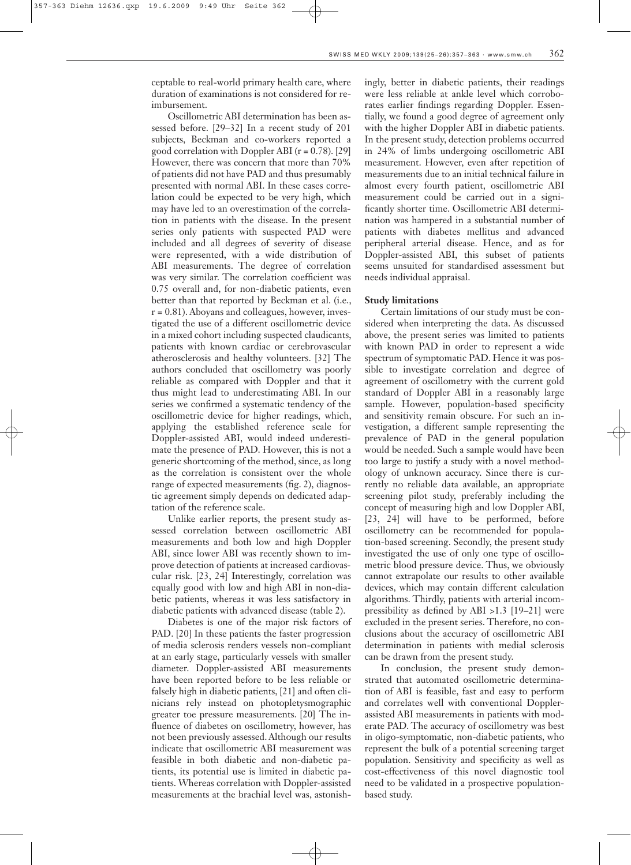ceptable to real-world primary health care, where duration of examinations is not considered for reimbursement.

Oscillometric ABI determination has been assessed before. [29–32] In a recent study of 201 subjects, Beckman and co-workers reported a good correlation with Doppler ABI ( $r = 0.78$ ). [29] However, there was concern that more than 70% of patients did not have PAD and thus presumably presented with normal ABI. In these cases correlation could be expected to be very high, which may have led to an overestimation of the correlation in patients with the disease. In the present series only patients with suspected PAD were included and all degrees of severity of disease were represented, with a wide distribution of ABI measurements. The degree of correlation was very similar. The correlation coefficient was 0.75 overall and, for non-diabetic patients, even better than that reported by Beckman et al. (i.e.,  $r = 0.81$ ). Aboyans and colleagues, however, investigated the use of a different oscillometric device in a mixed cohort including suspected claudicants, patients with known cardiac or cerebrovascular atherosclerosis and healthy volunteers. [32] The authors concluded that oscillometry was poorly reliable as compared with Doppler and that it thus might lead to underestimating ABI. In our series we confirmed a systematic tendency of the oscillometric device for higher readings, which, applying the established reference scale for Doppler-assisted ABI, would indeed underestimate the presence of PAD. However, this is not a generic shortcoming of the method, since, as long as the correlation is consistent over the whole range of expected measurements (fig. 2), diagnostic agreement simply depends on dedicated adaptation of the reference scale.

Unlike earlier reports, the present study assessed correlation between oscillometric ABI measurements and both low and high Doppler ABI, since lower ABI was recently shown to improve detection of patients at increased cardiovascular risk. [23, 24] Interestingly, correlation was equally good with low and high ABI in non-diabetic patients, whereas it was less satisfactory in diabetic patients with advanced disease (table 2).

Diabetes is one of the major risk factors of PAD. [20] In these patients the faster progression of media sclerosis renders vessels non-compliant at an early stage, particularly vessels with smaller diameter. Doppler-assisted ABI measurements have been reported before to be less reliable or falsely high in diabetic patients, [21] and often clinicians rely instead on photopletysmographic greater toe pressure measurements. [20] The influence of diabetes on oscillometry, however, has not been previously assessed. Although our results indicate that oscillometric ABI measurement was feasible in both diabetic and non-diabetic patients, its potential use is limited in diabetic patients. Whereas correlation with Doppler-assisted measurements at the brachial level was, astonishingly, better in diabetic patients, their readings were less reliable at ankle level which corroborates earlier findings regarding Doppler. Essentially, we found a good degree of agreement only with the higher Doppler ABI in diabetic patients. In the present study, detection problems occurred in 24% of limbs undergoing oscillometric ABI measurement. However, even after repetition of measurements due to an initial technical failure in almost every fourth patient, oscillometric ABI measurement could be carried out in a significantly shorter time. Oscillometric ABI determination was hampered in a substantial number of patients with diabetes mellitus and advanced peripheral arterial disease. Hence, and as for Doppler-assisted ABI, this subset of patients seems unsuited for standardised assessment but needs individual appraisal.

## **Study limitations**

Certain limitations of our study must be considered when interpreting the data. As discussed above, the present series was limited to patients with known PAD in order to represent a wide spectrum of symptomatic PAD. Hence it was possible to investigate correlation and degree of agreement of oscillometry with the current gold standard of Doppler ABI in a reasonably large sample. However, population-based specificity and sensitivity remain obscure. For such an investigation, a different sample representing the prevalence of PAD in the general population would be needed. Such a sample would have been too large to justify a study with a novel methodology of unknown accuracy. Since there is currently no reliable data available, an appropriate screening pilot study, preferably including the concept of measuring high and low Doppler ABI, [23, 24] will have to be performed, before oscillometry can be recommended for population-based screening. Secondly, the present study investigated the use of only one type of oscillometric blood pressure device. Thus, we obviously cannot extrapolate our results to other available devices, which may contain different calculation algorithms. Thirdly, patients with arterial incompressibility as defined by ABI >1.3 [19–21] were excluded in the present series. Therefore, no conclusions about the accuracy of oscillometric ABI determination in patients with medial sclerosis can be drawn from the present study.

In conclusion, the present study demonstrated that automated oscillometric determination of ABI is feasible, fast and easy to perform and correlates well with conventional Dopplerassisted ABI measurements in patients with moderate PAD. The accuracy of oscillometry was best in oligo-symptomatic, non-diabetic patients, who represent the bulk of a potential screening target population. Sensitivity and specificity as well as cost-effectiveness of this novel diagnostic tool need to be validated in a prospective populationbased study.